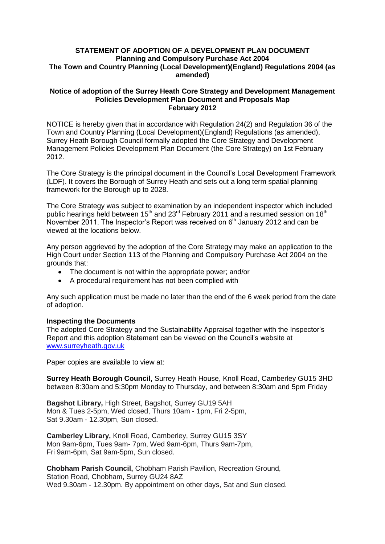## **STATEMENT OF ADOPTION OF A DEVELOPMENT PLAN DOCUMENT Planning and Compulsory Purchase Act 2004 The Town and Country Planning (Local Development)(England) Regulations 2004 (as amended)**

## **Notice of adoption of the Surrey Heath Core Strategy and Development Management Policies Development Plan Document and Proposals Map February 2012**

NOTICE is hereby given that in accordance with Regulation 24(2) and Regulation 36 of the Town and Country Planning (Local Development)(England) Regulations (as amended), Surrey Heath Borough Council formally adopted the Core Strategy and Development Management Policies Development Plan Document (the Core Strategy) on 1st February 2012.

The Core Strategy is the principal document in the Council's Local Development Framework (LDF). It covers the Borough of Surrey Heath and sets out a long term spatial planning framework for the Borough up to 2028.

The Core Strategy was subject to examination by an independent inspector which included public hearings held between  $15<sup>th</sup>$  and  $23<sup>rd</sup>$  February 2011 and a resumed session on  $18<sup>th</sup>$ November 2011. The Inspector's Report was received on  $6<sup>th</sup>$  January 2012 and can be viewed at the locations below.

Any person aggrieved by the adoption of the Core Strategy may make an application to the High Court under Section 113 of the Planning and Compulsory Purchase Act 2004 on the grounds that:

- The document is not within the appropriate power; and/or
- A procedural requirement has not been complied with  $\bullet$

Any such application must be made no later than the end of the 6 week period from the date of adoption.

## **Inspecting the Documents**

The adopted Core Strategy and the Sustainability Appraisal together with the Inspector's Report and this adoption Statement can be viewed on the Council's website at [www.surreyheath.gov.uk](http://www.surreyheath.gov.uk/)

Paper copies are available to view at:

**Surrey Heath Borough Council,** Surrey Heath House, Knoll Road, Camberley GU15 3HD between 8:30am and 5:30pm Monday to Thursday, and between 8:30am and 5pm Friday

**Bagshot Library,** High Street, Bagshot, Surrey GU19 5AH Mon & Tues 2-5pm, Wed closed, Thurs 10am - 1pm, Fri 2-5pm, Sat 9.30am - 12.30pm, Sun closed.

**Camberley Library,** Knoll Road, Camberley, Surrey GU15 3SY Mon 9am-6pm, Tues 9am- 7pm, Wed 9am-6pm, Thurs 9am-7pm, Fri 9am-6pm, Sat 9am-5pm, Sun closed.

**Chobham Parish Council,** Chobham Parish Pavilion, Recreation Ground, Station Road, Chobham, Surrey GU24 8AZ Wed 9.30am - 12.30pm. By appointment on other days, Sat and Sun closed.